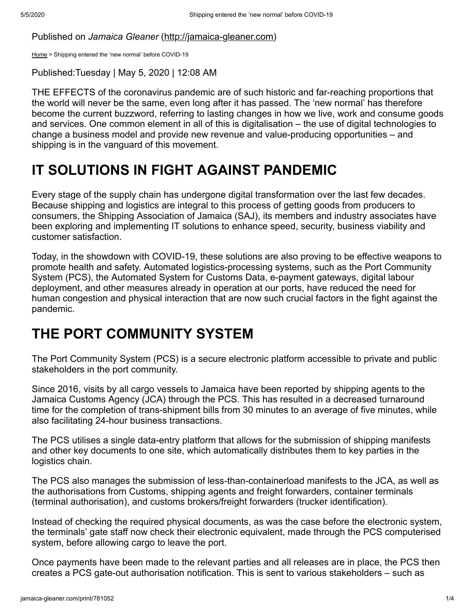Published on *Jamaica Gleaner* ([http://jamaica-gleaner.com](http://jamaica-gleaner.com/))

[Home](http://jamaica-gleaner.com/) > Shipping entered the 'new normal' before COVID-19

Published:Tuesday | May 5, 2020 | 12:08 AM

THE EFFECTS of the coronavirus pandemic are of such historic and far-reaching proportions that the world will never be the same, even long after it has passed. The 'new normal' has therefore become the current buzzword, referring to lasting changes in how we live, work and consume goods and services. One common element in all of this is digitalisation – the use of digital technologies to change a business model and provide new revenue and value-producing opportunities – and shipping is in the vanguard of this movement.

## **IT SOLUTIONS IN FIGHT AGAINST PANDEMIC**

Every stage of the supply chain has undergone digital transformation over the last few decades. Because shipping and logistics are integral to this process of getting goods from producers to consumers, the Shipping Association of Jamaica (SAJ), its members and industry associates have been exploring and implementing IT solutions to enhance speed, security, business viability and customer satisfaction.

Today, in the showdown with COVID-19, these solutions are also proving to be effective weapons to promote health and safety. Automated logistics-processing systems, such as the Port Community System (PCS), the Automated System for Customs Data, e-payment gateways, digital labour deployment, and other measures already in operation at our ports, have reduced the need for human congestion and physical interaction that are now such crucial factors in the fight against the pandemic.

## **THE PORT COMMUNITY SYSTEM**

The Port Community System (PCS) is a secure electronic platform accessible to private and public stakeholders in the port community.

Since 2016, visits by all cargo vessels to Jamaica have been reported by shipping agents to the Jamaica Customs Agency (JCA) through the PCS. This has resulted in a decreased turnaround time for the completion of trans-shipment bills from 30 minutes to an average of five minutes, while also facilitating 24-hour business transactions.

The PCS utilises a single data-entry platform that allows for the submission of shipping manifests and other key documents to one site, which automatically distributes them to key parties in the logistics chain.

The PCS also manages the submission of less-than-containerload manifests to the JCA, as well as the authorisations from Customs, shipping agents and freight forwarders, container terminals (terminal authorisation), and customs brokers/freight forwarders (trucker identification).

Instead of checking the required physical documents, as was the case before the electronic system, the terminals' gate staff now check their electronic equivalent, made through the PCS computerised system, before allowing cargo to leave the port.

Once payments have been made to the relevant parties and all releases are in place, the PCS then creates a PCS gate-out authorisation notification. This is sent to various stakeholders – such as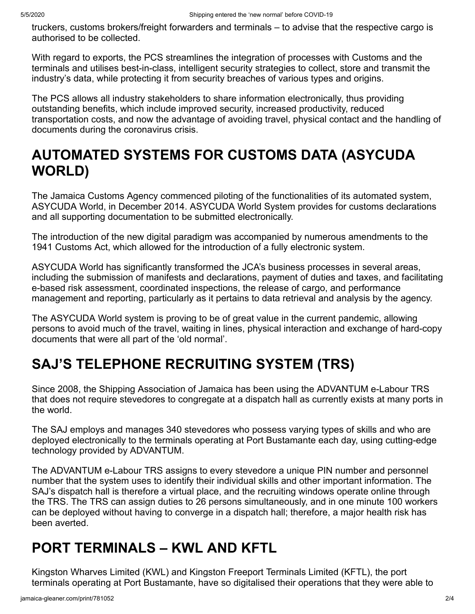truckers, customs brokers/freight forwarders and terminals – to advise that the respective cargo is authorised to be collected.

With regard to exports, the PCS streamlines the integration of processes with Customs and the terminals and utilises best-in-class, intelligent security strategies to collect, store and transmit the industry's data, while protecting it from security breaches of various types and origins.

The PCS allows all industry stakeholders to share information electronically, thus providing outstanding benefits, which include improved security, increased productivity, reduced transportation costs, and now the advantage of avoiding travel, physical contact and the handling of documents during the coronavirus crisis.

## **AUTOMATED SYSTEMS FOR CUSTOMS DATA (ASYCUDA WORLD)**

The Jamaica Customs Agency commenced piloting of the functionalities of its automated system, ASYCUDA World, in December 2014. ASYCUDA World System provides for customs declarations and all supporting documentation to be submitted electronically.

The introduction of the new digital paradigm was accompanied by numerous amendments to the 1941 Customs Act, which allowed for the introduction of a fully electronic system.

ASYCUDA World has significantly transformed the JCA's business processes in several areas, including the submission of manifests and declarations, payment of duties and taxes, and facilitating e-based risk assessment, coordinated inspections, the release of cargo, and performance management and reporting, particularly as it pertains to data retrieval and analysis by the agency.

The ASYCUDA World system is proving to be of great value in the current pandemic, allowing persons to avoid much of the travel, waiting in lines, physical interaction and exchange of hard-copy documents that were all part of the 'old normal'.

# **SAJ'S TELEPHONE RECRUITING SYSTEM (TRS)**

Since 2008, the Shipping Association of Jamaica has been using the ADVANTUM e-Labour TRS that does not require stevedores to congregate at a dispatch hall as currently exists at many ports in the world.

The SAJ employs and manages 340 stevedores who possess varying types of skills and who are deployed electronically to the terminals operating at Port Bustamante each day, using cutting-edge technology provided by ADVANTUM.

The ADVANTUM e-Labour TRS assigns to every stevedore a unique PIN number and personnel number that the system uses to identify their individual skills and other important information. The SAJ's dispatch hall is therefore a virtual place, and the recruiting windows operate online through the TRS. The TRS can assign duties to 26 persons simultaneously, and in one minute 100 workers can be deployed without having to converge in a dispatch hall; therefore, a major health risk has been averted.

## **PORT TERMINALS – KWL AND KFTL**

Kingston Wharves Limited (KWL) and Kingston Freeport Terminals Limited (KFTL), the port terminals operating at Port Bustamante, have so digitalised their operations that they were able to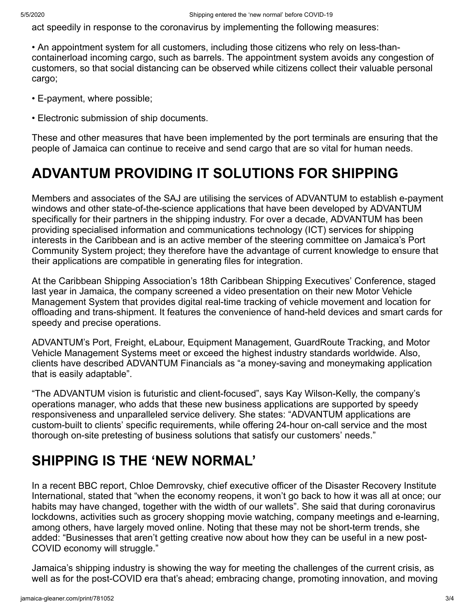act speedily in response to the coronavirus by implementing the following measures:

• An appointment system for all customers, including those citizens who rely on less-thancontainerload incoming cargo, such as barrels. The appointment system avoids any congestion of customers, so that social distancing can be observed while citizens collect their valuable personal cargo;

- E-payment, where possible;
- Electronic submission of ship documents.

These and other measures that have been implemented by the port terminals are ensuring that the people of Jamaica can continue to receive and send cargo that are so vital for human needs.

#### **ADVANTUM PROVIDING IT SOLUTIONS FOR SHIPPING**

Members and associates of the SAJ are utilising the services of ADVANTUM to establish e-payment windows and other state-of-the-science applications that have been developed by ADVANTUM specifically for their partners in the shipping industry. For over a decade, ADVANTUM has been providing specialised information and communications technology (ICT) services for shipping interests in the Caribbean and is an active member of the steering committee on Jamaica's Port Community System project; they therefore have the advantage of current knowledge to ensure that their applications are compatible in generating files for integration.

At the Caribbean Shipping Association's 18th Caribbean Shipping Executives' Conference, staged last year in Jamaica, the company screened a video presentation on their new Motor Vehicle Management System that provides digital real-time tracking of vehicle movement and location for offloading and trans-shipment. It features the convenience of hand-held devices and smart cards for speedy and precise operations.

ADVANTUM's Port, Freight, eLabour, Equipment Management, GuardRoute Tracking, and Motor Vehicle Management Systems meet or exceed the highest industry standards worldwide. Also, clients have described ADVANTUM Financials as "a money-saving and moneymaking application that is easily adaptable".

"The ADVANTUM vision is futuristic and client-focused", says Kay Wilson-Kelly, the company's operations manager, who adds that these new business applications are supported by speedy responsiveness and unparalleled service delivery. She states: "ADVANTUM applications are custom-built to clients' specific requirements, while offering 24-hour on-call service and the most thorough on-site pretesting of business solutions that satisfy our customers' needs."

### **SHIPPING IS THE 'NEW NORMAL'**

In a recent BBC report, Chloe Demrovsky, chief executive officer of the Disaster Recovery Institute International, stated that "when the economy reopens, it won't go back to how it was all at once; our habits may have changed, together with the width of our wallets". She said that during coronavirus lockdowns, activities such as grocery shopping movie watching, company meetings and e-learning, among others, have largely moved online. Noting that these may not be short-term trends, she added: "Businesses that aren't getting creative now about how they can be useful in a new post-COVID economy will struggle."

Jamaica's shipping industry is showing the way for meeting the challenges of the current crisis, as well as for the post-COVID era that's ahead; embracing change, promoting innovation, and moving